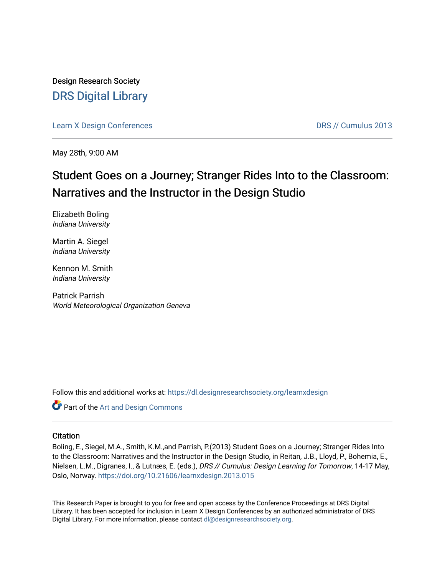Design Research Society [DRS Digital Library](https://dl.designresearchsociety.org/)

[Learn X Design Conferences](https://dl.designresearchsociety.org/learnxdesign) **DRS // Cumulus 2013** 

May 28th, 9:00 AM

# Student Goes on a Journey; Stranger Rides Into to the Classroom: Narratives and the Instructor in the Design Studio

Elizabeth Boling Indiana University

Martin A. Siegel Indiana University

Kennon M. Smith Indiana University

Patrick Parrish World Meteorological Organization Geneva

Follow this and additional works at: [https://dl.designresearchsociety.org/learnxdesign](https://dl.designresearchsociety.org/learnxdesign?utm_source=dl.designresearchsociety.org%2Flearnxdesign%2Flearnxdesign2013%2Fresearchpapers%2F15&utm_medium=PDF&utm_campaign=PDFCoverPages)

Part of the [Art and Design Commons](http://network.bepress.com/hgg/discipline/1049?utm_source=dl.designresearchsociety.org%2Flearnxdesign%2Flearnxdesign2013%2Fresearchpapers%2F15&utm_medium=PDF&utm_campaign=PDFCoverPages)

## **Citation**

Boling, E., Siegel, M.A., Smith, K.M.,and Parrish, P.(2013) Student Goes on a Journey; Stranger Rides Into to the Classroom: Narratives and the Instructor in the Design Studio, in Reitan, J.B., Lloyd, P., Bohemia, E., Nielsen, L.M., Digranes, I., & Lutnæs, E. (eds.), DRS // Cumulus: Design Learning for Tomorrow, 14-17 May, Oslo, Norway.<https://doi.org/10.21606/learnxdesign.2013.015>

This Research Paper is brought to you for free and open access by the Conference Proceedings at DRS Digital Library. It has been accepted for inclusion in Learn X Design Conferences by an authorized administrator of DRS Digital Library. For more information, please contact [dl@designresearchsociety.org](mailto:dl@designresearchsociety.org).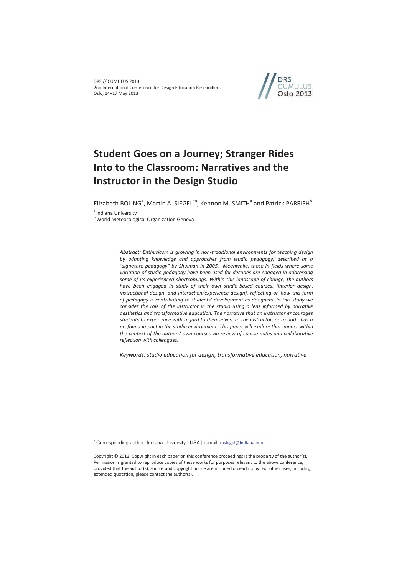

# **Student Goes on a Journey; Stranger Rides Into to the Classroom: Narratives and the Instructor in the Design Studio**

Elizabeth BOLING<sup>a</sup>, Martin A. SIEGEL<sup>\*a</sup>, Kennon M. SMITH<sup>a</sup> and Patrick PARRISH<sup>b</sup>

<sup>a</sup> Indiana University

 $\overline{a}$ 

**b** World Meteorological Organization Geneva

*Abstract: Enthusiasm is growing in non-traditional environments for teaching design by adapting knowledge and approaches from studio pedagogy, described as a "signature pedagogy" by Shulman in 2005. Meanwhile, those in fields where some variation of studio pedagogy have been used for decades are engaged in addressing some of its experienced shortcomings. Within this landscape of change, the authors have been engaged in study of their own studio-based courses, (interior design, instructional design, and interaction/experience design), reflecting on how this form of pedagogy is contributing to students' development as designers. In this study we consider the role of the instructor in the studio using a lens informed by narrative aesthetics and transformative education. The narrative that an instructor encourages students to experience with regard to themselves, to the instructor, or to both, has a profound impact in the studio environment. This paper will explore that impact within the context of the authors' own courses via review of course notes and collaborative reflection with colleagues.* 

*Keywords: studio education for design, transformative education, narrative* 

Corresponding author: Indiana University | USA | e-mail: msiegel@indiana.edu

Copyright © 2013. Copyright in each paper on this conference proceedings is the property of the author(s). Permission is granted to reproduce copies of these works for purposes relevant to the above conference, provided that the author(s), source and copyright notice are included on each copy. For other uses, including extended quotation, please contact the author(s).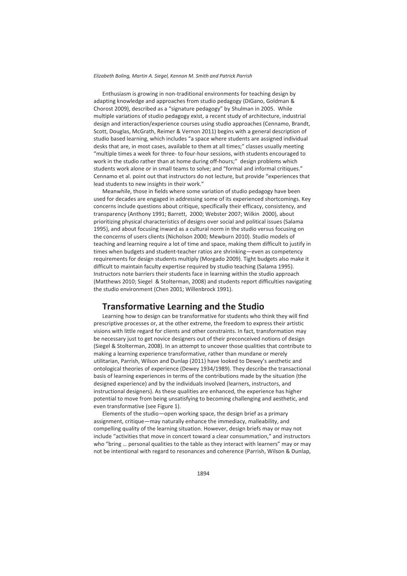Enthusiasm is growing in non-traditional environments for teaching design by adapting knowledge and approaches from studio pedagogy (DiGano, Goldman & Chorost 2009), described as a "signature pedagogy" by Shulman in 2005. While multiple variations of studio pedagogy exist, a recent study of architecture, industrial design and interaction/experience courses using studio approaches (Cennamo, Brandt, Scott, Douglas, McGrath, Reimer & Vernon 2011) begins with a general description of studio based learning, which includes "a space where students are assigned individual desks that are, in most cases, available to them at all times;" classes usually meeting "multiple times a week for three- to four-hour sessions, with students encouraged to work in the studio rather than at home during off-hours;" design problems which students work alone or in small teams to solve; and "formal and informal critiques." Cennamo et al. point out that instructors do not lecture, but provide "experiences that lead students to new insights in their work."

Meanwhile, those in fields where some variation of studio pedagogy have been used for decades are engaged in addressing some of its experienced shortcomings. Key concerns include questions about critique, specifically their efficacy, consistency, and transparency (Anthony 1991; Barrett, 2000; Webster 2007; Wilkin 2000), about prioritizing physical characteristics of designs over social and political issues (Salama 1995), and about focusing inward as a cultural norm in the studio versus focusing on the concerns of users clients (Nicholson 2000; Mewburn 2010). Studio models of teaching and learning require a lot of time and space, making them difficult to justify in times when budgets and student-teacher ratios are shrinking—even as competency requirements for design students multiply (Morgado 2009). Tight budgets also make it difficult to maintain faculty expertise required by studio teaching (Salama 1995). Instructors note barriers their students face in learning within the studio approach (Matthews 2010; Siegel & Stolterman, 2008) and students report difficulties navigating the studio environment (Chen 2001; Willenbrock 1991).

## **Transformative Learning and the Studio**

Learning how to design can be transformative for students who think they will find prescriptive processes or, at the other extreme, the freedom to express their artistic visions with little regard for clients and other constraints. In fact, transformation may be necessary just to get novice designers out of their preconceived notions of design (Siegel & Stolterman, 2008). In an attempt to uncover those qualities that contribute to making a learning experience transformative, rather than mundane or merely utilitarian, Parrish, Wilson and Dunlap (2011) have looked to Dewey's aesthetic and ontological theories of experience (Dewey 1934/1989). They describe the transactional basis of learning experiences in terms of the contributions made by the situation (the designed experience) and by the individuals involved (learners, instructors, and instructional designers). As these qualities are enhanced, the experience has higher potential to move from being unsatisfying to becoming challenging and aesthetic, and even transformative (see Figure 1).

Elements of the studio—open working space, the design brief as a primary assignment, critique—may naturally enhance the immediacy, malleability, and compelling quality of the learning situation. However, design briefs may or may not include "activities that move in concert toward a clear consummation," and instructors who "bring ... personal qualities to the table as they interact with learners" may or may not be intentional with regard to resonances and coherence (Parrish, Wilson & Dunlap,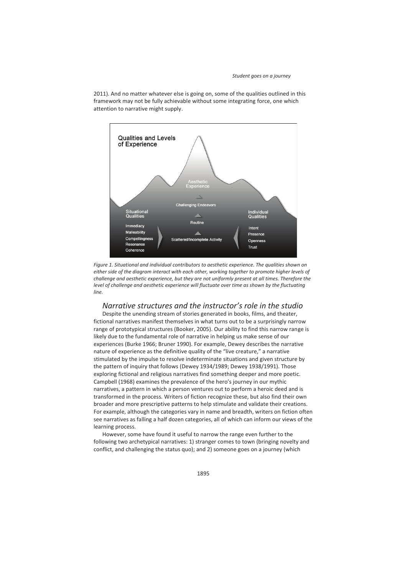2011). And no matter whatever else is going on, some of the qualities outlined in this framework may not be fully achievable without some integrating force, one which attention to narrative might supply.



*Figure 1. Situational and individual contributors to aesthetic experience. The qualities shown on either side of the diagram interact with each other, working together to promote higher levels of challenge and aesthetic experience, but they are not uniformly present at all times. Therefore the level of challenge and aesthetic experience will fluctuate over time as shown by the fluctuating line.* 

### *Narrative structures and the instructor's role in the studio*

Despite the unending stream of stories generated in books, films, and theater, fictional narratives manifest themselves in what turns out to be a surprisingly narrow range of prototypical structures (Booker, 2005). Our ability to find this narrow range is likely due to the fundamental role of narrative in helping us make sense of our experiences (Burke 1966; Bruner 1990). For example, Dewey describes the narrative nature of experience as the definitive quality of the "live creature," a narrative stimulated by the impulse to resolve indeterminate situations and given structure by the pattern of inquiry that follows (Dewey 1934/1989; Dewey 1938/1991). Those exploring fictional and religious narratives find something deeper and more poetic. Campbell (1968) examines the prevalence of the hero's journey in our mythic narratives, a pattern in which a person ventures out to perform a heroic deed and is transformed in the process. Writers of fiction recognize these, but also find their own broader and more prescriptive patterns to help stimulate and validate their creations. For example, although the categories vary in name and breadth, writers on fiction often see narratives as falling a half dozen categories, all of which can inform our views of the learning process.

However, some have found it useful to narrow the range even further to the following two archetypical narratives: 1) stranger comes to town (bringing novelty and conflict, and challenging the status quo); and 2) someone goes on a journey (which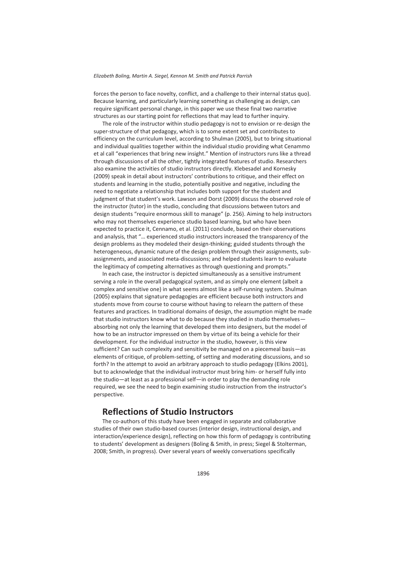forces the person to face novelty, conflict, and a challenge to their internal status quo). Because learning, and particularly learning something as challenging as design, can require significant personal change, in this paper we use these final two narrative structures as our starting point for reflections that may lead to further inquiry.

The role of the instructor within studio pedagogy is not to envision or re-design the super-structure of that pedagogy, which is to some extent set and contributes to efficiency on the curriculum level, according to Shulman (2005), but to bring situational and individual qualities together within the individual studio providing what Cenammo et al call "experiences that bring new insight." Mention of instructors runs like a thread through discussions of all the other, tightly integrated features of studio. Researchers also examine the activities of studio instructors directly. Klebesadel and Kornesky (2009) speak in detail about instructors' contributions to critique, and their effect on students and learning in the studio, potentially positive and negative, including the need to negotiate a relationship that includes both support for the student and judgment of that student's work. Lawson and Dorst (2009) discuss the observed role of the instructor (tutor) in the studio, concluding that discussions between tutors and design students "require enormous skill to manage" (p. 256). Aiming to help instructors who may not themselves experience studio based learning, but who have been expected to practice it, Cennamo, et al. (2011) conclude, based on their observations and analysis, that "… experienced studio instructors increased the transparency of the design problems as they modeled their design-thinking; guided students through the heterogeneous, dynamic nature of the design problem through their assignments, subassignments, and associated meta-discussions; and helped students learn to evaluate the legitimacy of competing alternatives as through questioning and prompts."

In each case, the instructor is depicted simultaneously as a sensitive instrument serving a role in the overall pedagogical system, and as simply one element (albeit a complex and sensitive one) in what seems almost like a self-running system. Shulman (2005) explains that signature pedagogies are efficient because both instructors and students move from course to course without having to relearn the pattern of these features and practices. In traditional domains of design, the assumption might be made that studio instructors know what to do because they studied in studio themselves absorbing not only the learning that developed them into designers, but the model of how to be an instructor impressed on them by virtue of its being a vehicle for their development. For the individual instructor in the studio, however, is this view sufficient? Can such complexity and sensitivity be managed on a piecemeal basis—as elements of critique, of problem-setting, of setting and moderating discussions, and so forth? In the attempt to avoid an arbitrary approach to studio pedagogy (Elkins 2001), but to acknowledge that the individual instructor must bring him- or herself fully into the studio—at least as a professional self—in order to play the demanding role required, we see the need to begin examining studio instruction from the instructor's perspective.

# **Reflections of Studio Instructors**

The co-authors of this study have been engaged in separate and collaborative studies of their own studio-based courses (interior design, instructional design, and interaction/experience design), reflecting on how this form of pedagogy is contributing to students' development as designers (Boling & Smith, in press; Siegel & Stolterman, 2008; Smith, in progress). Over several years of weekly conversations specifically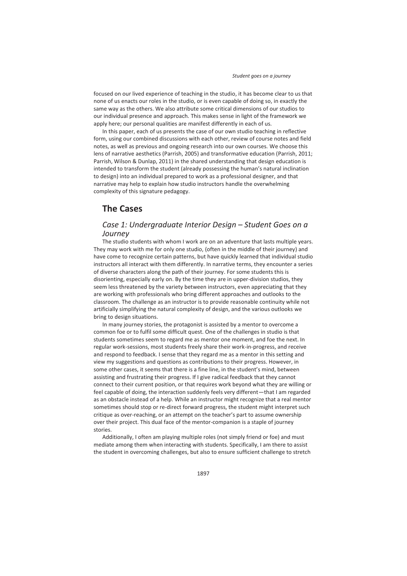focused on our lived experience of teaching in the studio, it has become clear to us that none of us enacts our roles in the studio, or is even capable of doing so, in exactly the same way as the others. We also attribute some critical dimensions of our studios to our individual presence and approach. This makes sense in light of the framework we apply here; our personal qualities are manifest differently in each of us.

In this paper, each of us presents the case of our own studio teaching in reflective form, using our combined discussions with each other, review of course notes and field notes, as well as previous and ongoing research into our own courses. We choose this lens of narrative aesthetics (Parrish, 2005) and transformative education (Parrish, 2011; Parrish, Wilson & Dunlap, 2011) in the shared understanding that design education is intended to transform the student (already possessing the human's natural inclination to design) into an individual prepared to work as a professional designer, and that narrative may help to explain how studio instructors handle the overwhelming complexity of this signature pedagogy.

## **The Cases**

### *Case 1: Undergraduate Interior Design – Student Goes on a Journey*

The studio students with whom I work are on an adventure that lasts multiple years. They may work with me for only one studio, (often in the middle of their journey) and have come to recognize certain patterns, but have quickly learned that individual studio instructors all interact with them differently. In narrative terms, they encounter a series of diverse characters along the path of their journey. For some students this is disorienting, especially early on. By the time they are in upper-division studios, they seem less threatened by the variety between instructors, even appreciating that they are working with professionals who bring different approaches and outlooks to the classroom. The challenge as an instructor is to provide reasonable continuity while not artificially simplifying the natural complexity of design, and the various outlooks we bring to design situations.

In many journey stories, the protagonist is assisted by a mentor to overcome a common foe or to fulfil some difficult quest. One of the challenges in studio is that students sometimes seem to regard me as mentor one moment, and foe the next. In regular work-sessions, most students freely share their work-in-progress, and receive and respond to feedback. I sense that they regard me as a mentor in this setting and view my suggestions and questions as contributions to their progress. However, in some other cases, it seems that there is a fine line, in the student's mind, between assisting and frustrating their progress. If I give radical feedback that they cannot connect to their current position, or that requires work beyond what they are willing or feel capable of doing, the interaction suddenly feels very different—that I am regarded as an obstacle instead of a help. While an instructor might recognize that a real mentor sometimes should stop or re-direct forward progress, the student might interpret such critique as over-reaching, or an attempt on the teacher's part to assume ownership over their project. This dual face of the mentor-companion is a staple of journey stories.

Additionally, I often am playing multiple roles (not simply friend or foe) and must mediate among them when interacting with students. Specifically, I am there to assist the student in overcoming challenges, but also to ensure sufficient challenge to stretch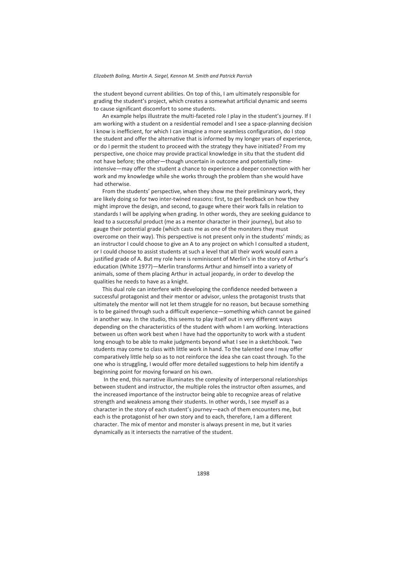the student beyond current abilities. On top of this, I am ultimately responsible for grading the student's project, which creates a somewhat artificial dynamic and seems to cause significant discomfort to some students.

An example helps illustrate the multi-faceted role I play in the student's journey. If I am working with a student on a residential remodel and I see a space-planning decision I know is inefficient, for which I can imagine a more seamless configuration, do I stop the student and offer the alternative that is informed by my longer years of experience, or do I permit the student to proceed with the strategy they have initiated? From my perspective, one choice may provide practical knowledge in situ that the student did not have before; the other—though uncertain in outcome and potentially timeintensive—may offer the student a chance to experience a deeper connection with her work and my knowledge while she works through the problem than she would have had otherwise.

From the students' perspective, when they show me their preliminary work, they are likely doing so for two inter-twined reasons: first, to get feedback on how they might improve the design, and second, to gauge where their work falls in relation to standards I will be applying when grading. In other words, they are seeking guidance to lead to a successful product (me as a mentor character in their journey), but also to gauge their potential grade (which casts me as one of the monsters they must overcome on their way). This perspective is not present only in the students' minds; as an instructor I could choose to give an A to any project on which I consulted a student, or I could choose to assist students at such a level that all their work would earn a justified grade of A. But my role here is reminiscent of Merlin's in the story of Arthur's education (White 1977)—Merlin transforms Arthur and himself into a variety of animals, some of them placing Arthur in actual jeopardy, in order to develop the qualities he needs to have as a knight.

This dual role can interfere with developing the confidence needed between a successful protagonist and their mentor or advisor, unless the protagonist trusts that ultimately the mentor will not let them struggle for no reason, but because something is to be gained through such a difficult experience—something which cannot be gained in another way. In the studio, this seems to play itself out in very different ways depending on the characteristics of the student with whom I am working. Interactions between us often work best when I have had the opportunity to work with a student long enough to be able to make judgments beyond what I see in a sketchbook. Two students may come to class with little work in hand. To the talented one I may offer comparatively little help so as to not reinforce the idea she can coast through. To the one who is struggling, I would offer more detailed suggestions to help him identify a beginning point for moving forward on his own.

 In the end, this narrative illuminates the complexity of interpersonal relationships between student and instructor, the multiple roles the instructor often assumes, and the increased importance of the instructor being able to recognize areas of relative strength and weakness among their students. In other words, I see myself as a character in the story of each student's journey—each of them encounters me, but each is the protagonist of her own story and to each, therefore, I am a different character. The mix of mentor and monster is always present in me, but it varies dynamically as it intersects the narrative of the student.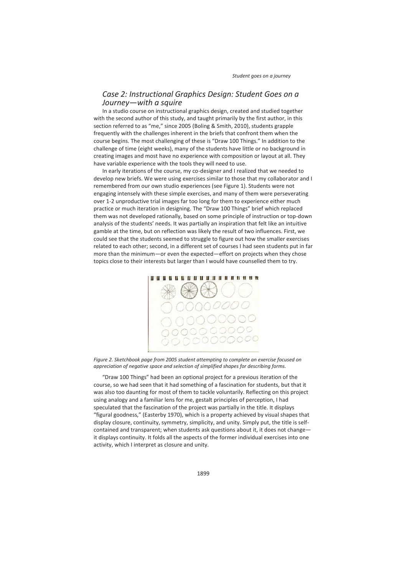## *Case 2: Instructional Graphics Design: Student Goes on a Journey—with a squire*

In a studio course on instructional graphics design, created and studied together with the second author of this study, and taught primarily by the first author, in this section referred to as "me," since 2005 (Boling & Smith, 2010), students grapple frequently with the challenges inherent in the briefs that confront them when the course begins. The most challenging of these is "Draw 100 Things." In addition to the challenge of time (eight weeks), many of the students have little or no background in creating images and most have no experience with composition or layout at all. They have variable experience with the tools they will need to use.

In early iterations of the course, my co-designer and I realized that we needed to develop new briefs. We were using exercises similar to those that my collaborator and I remembered from our own studio experiences (see Figure 1). Students were not engaging intensely with these simple exercises, and many of them were perseverating over 1-2 unproductive trial images far too long for them to experience either much practice or much iteration in designing. The "Draw 100 Things" brief which replaced them was not developed rationally, based on some principle of instruction or top-down analysis of the students' needs. It was partially an inspiration that felt like an intuitive gamble at the time, but on reflection was likely the result of two influences. First, we could see that the students seemed to struggle to figure out how the smaller exercises related to each other; second, in a different set of courses I had seen students put in far more than the minimum—or even the expected—effort on projects when they chose topics close to their interests but larger than I would have counselled them to try.



*Figure 2. Sketchbook page from 2005 student attempting to complete an exercise focused on appreciation of negative space and selection of simplified shapes for describing forms.* 

"Draw 100 Things" had been an optional project for a previous iteration of the course, so we had seen that it had something of a fascination for students, but that it was also too daunting for most of them to tackle voluntarily. Reflecting on this project using analogy and a familiar lens for me, gestalt principles of perception, I had speculated that the fascination of the project was partially in the title. It displays "figural goodness," (Easterby 1970), which is a property achieved by visual shapes that display closure, continuity, symmetry, simplicity, and unity. Simply put, the title is selfcontained and transparent; when students ask questions about it, it does not change it displays continuity. It folds all the aspects of the former individual exercises into one activity, which I interpret as closure and unity.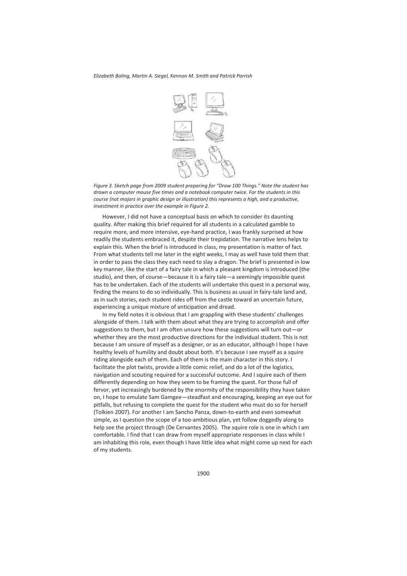

*Figure 3. Sketch page from 2009 student preparing for "Draw 100 Things." Note the student has drawn a computer mouse five times and a notebook computer twice. For the students in this course (not majors in graphic design or illustration) this represents a high, and a productive, investment in practice over the example in Figure 2.* 

However, I did not have a conceptual basis on which to consider its daunting quality. After making this brief required for all students in a calculated gamble to require more, and more intensive, eye-hand practice, I was frankly surprised at how readily the students embraced it, despite their trepidation. The narrative lens helps to explain this. When the brief is introduced in class, my presentation is matter of fact. From what students tell me later in the eight weeks, I may as well have told them that in order to pass the class they each need to slay a dragon. The brief is presented in low key manner, like the start of a fairy tale in which a pleasant kingdom is introduced (the studio), and then, of course—because it is a fairy tale—a seemingly impossible quest has to be undertaken. Each of the students will undertake this quest in a personal way, finding the means to do so individually. This is business as usual in fairy-tale land and, as in such stories, each student rides off from the castle toward an uncertain future, experiencing a unique mixture of anticipation and dread.

In my field notes it is obvious that I am grappling with these students' challenges alongside of them. I talk with them about what they are trying to accomplish and offer suggestions to them, but I am often unsure how these suggestions will turn out—or whether they are the most productive directions for the individual student. This is not because I am unsure of myself as a designer, or as an educator, although I hope I have healthy levels of humility and doubt about both. It's because I see myself as a squire riding alongside each of them. Each of them is the main character in this story. I facilitate the plot twists, provide a little comic relief, and do a lot of the logistics, navigation and scouting required for a successful outcome. And I squire each of them differently depending on how they seem to be framing the quest. For those full of fervor, yet increasingly burdened by the enormity of the responsibility they have taken on, I hope to emulate Sam Gamgee—steadfast and encouraging, keeping an eye out for pitfalls, but refusing to complete the quest for the student who must do so for herself (Tolkien 2007). For another I am Sancho Panza, down-to-earth and even somewhat simple, as I question the scope of a too-ambitious plan, yet follow doggedly along to help see the project through (De Cervantes 2005). The squire role is one in which I am comfortable. I find that I can draw from myself appropriate responses in class while I am inhabiting this role, even though I have little idea what might come up next for each of my students.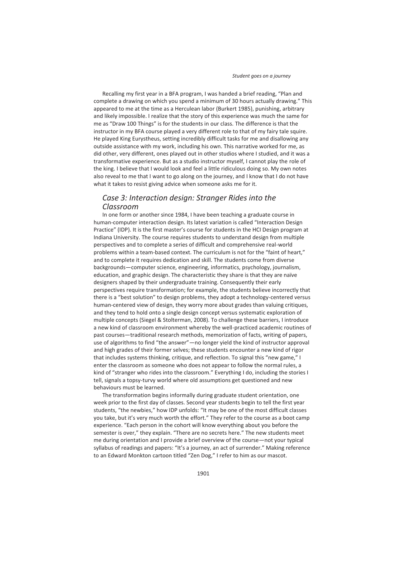Recalling my first year in a BFA program, I was handed a brief reading, "Plan and complete a drawing on which you spend a minimum of 30 hours actually drawing." This appeared to me at the time as a Herculean labor (Burkert 1985), punishing, arbitrary and likely impossible. I realize that the story of this experience was much the same for me as "Draw 100 Things" is for the students in our class. The difference is that the instructor in my BFA course played a very different role to that of my fairy tale squire. He played King Eurystheus, setting incredibly difficult tasks for me and disallowing any outside assistance with my work, including his own. This narrative worked for me, as did other, very different, ones played out in other studios where I studied, and it was a transformative experience. But as a studio instructor myself, I cannot play the role of the king. I believe that I would look and feel a little ridiculous doing so. My own notes also reveal to me that I want to go along on the journey, and I know that I do not have what it takes to resist giving advice when someone asks me for it.

### *Case 3: Interaction design: Stranger Rides into the Classroom*

In one form or another since 1984, I have been teaching a graduate course in human-computer interaction design. Its latest variation is called "Interaction Design Practice" (IDP). It is the first master's course for students in the HCI Design program at Indiana University. The course requires students to understand design from multiple perspectives and to complete a series of difficult and comprehensive real-world problems within a team-based context. The curriculum is not for the "faint of heart," and to complete it requires dedication and skill. The students come from diverse backgrounds—computer science, engineering, informatics, psychology, journalism, education, and graphic design. The characteristic they share is that they are naïve designers shaped by their undergraduate training. Consequently their early perspectives require transformation; for example, the students believe incorrectly that there is a "best solution" to design problems, they adopt a technology-centered versus human-centered view of design, they worry more about grades than valuing critiques, and they tend to hold onto a single design concept versus systematic exploration of multiple concepts (Siegel & Stolterman, 2008). To challenge these barriers, I introduce a new kind of classroom environment whereby the well-practiced academic routines of past courses—traditional research methods, memorization of facts, writing of papers, use of algorithms to find "the answer"—no longer yield the kind of instructor approval and high grades of their former selves; these students encounter a new kind of rigor that includes systems thinking, critique, and reflection. To signal this "new game," I enter the classroom as someone who does not appear to follow the normal rules, a kind of "stranger who rides into the classroom." Everything I do, including the stories I tell, signals a topsy-turvy world where old assumptions get questioned and new behaviours must be learned.

The transformation begins informally during graduate student orientation, one week prior to the first day of classes. Second year students begin to tell the first year students, "the newbies," how IDP unfolds: "It may be one of the most difficult classes you take, but it's very much worth the effort." They refer to the course as a boot camp experience. "Each person in the cohort will know everything about you before the semester is over," they explain. "There are no secrets here." The new students meet me during orientation and I provide a brief overview of the course—not your typical syllabus of readings and papers: "It's a journey, an act of surrender." Making reference to an Edward Monkton cartoon titled "Zen Dog," I refer to him as our mascot.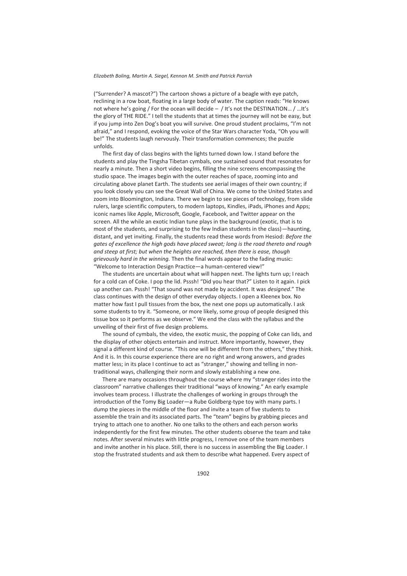("Surrender? A mascot?") The cartoon shows a picture of a beagle with eye patch, reclining in a row boat, floating in a large body of water. The caption reads: "He knows not where he's going / For the ocean will decide – / It's not the DESTINATION… / …It's the glory of THE RIDE." I tell the students that at times the journey will not be easy, but if you jump into Zen Dog's boat you will survive. One proud student proclaims, "I'm not afraid," and I respond, evoking the voice of the Star Wars character Yoda, "Oh you will be!" The students laugh nervously. Their transformation commences; the puzzle unfolds.

The first day of class begins with the lights turned down low. I stand before the students and play the Tingsha Tibetan cymbals, one sustained sound that resonates for nearly a minute. Then a short video begins, filling the nine screens encompassing the studio space. The images begin with the outer reaches of space, zooming into and circulating above planet Earth. The students see aerial images of their own country; if you look closely you can see the Great Wall of China. We come to the United States and zoom into Bloomington, Indiana. There we begin to see pieces of technology, from slide rulers, large scientific computers, to modern laptops, Kindles, iPads, iPhones and Apps; iconic names like Apple, Microsoft, Google, Facebook, and Twitter appear on the screen. All the while an exotic Indian tune plays in the background (exotic, that is to most of the students, and surprising to the few Indian students in the class)—haunting, distant, and yet inviting. Finally, the students read these words from Hesiod: *Before the gates of excellence the high gods have placed sweat; long is the road thereto and rough and steep at first; but when the heights are reached, then there is ease, though grievously hard in the winning.* Then the final words appear to the fading music: "Welcome to Interaction Design Practice—a human-centered view!"

The students are uncertain about what will happen next. The lights turn up; I reach for a cold can of Coke. I pop the lid. Psssh! "Did you hear that?" Listen to it again. I pick up another can. Psssh! "That sound was not made by accident. It was *designed*." The class continues with the design of other everyday objects. I open a Kleenex box. No matter how fast I pull tissues from the box, the next one pops up automatically. I ask some students to try it. "Someone, or more likely, some group of people designed this tissue box so it performs as we observe." We end the class with the syllabus and the unveiling of their first of five design problems.

The sound of cymbals, the video, the exotic music, the popping of Coke can lids, and the display of other objects entertain and instruct. More importantly, however, they signal a different kind of course. "This one will be different from the others," they think. And it is. In this course experience there are no right and wrong answers, and grades matter less; in its place I continue to act as "stranger," showing and telling in nontraditional ways, challenging their norm and slowly establishing a new one.

There are many occasions throughout the course where my "stranger rides into the classroom" narrative challenges their traditional "ways of knowing." An early example involves team process. I illustrate the challenges of working in groups through the introduction of the Tomy Big Loader—a Rube Goldberg-type toy with many parts. I dump the pieces in the middle of the floor and invite a team of five students to assemble the train and its associated parts. The "team" begins by grabbing pieces and trying to attach one to another. No one talks to the others and each person works independently for the first few minutes. The other students observe the team and take notes. After several minutes with little progress, I remove one of the team members and invite another in his place. Still, there is no success in assembling the Big Loader. I stop the frustrated students and ask them to describe what happened. Every aspect of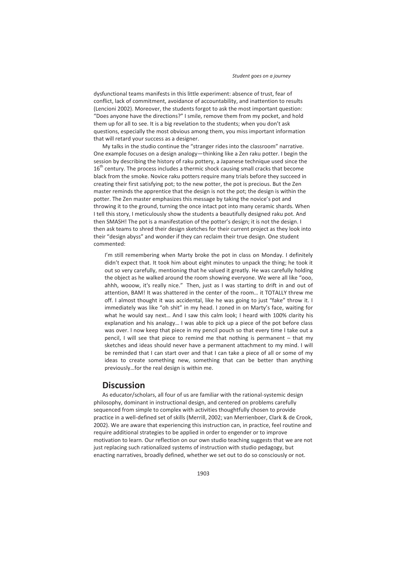dysfunctional teams manifests in this little experiment: absence of trust, fear of conflict, lack of commitment, avoidance of accountability, and inattention to results (Lencioni 2002). Moreover, the students forgot to ask the most important question: "Does anyone have the directions?" I smile, remove them from my pocket, and hold them up for all to see. It is a big revelation to the students; when you don't ask questions, especially the most obvious among them, you miss important information that will retard your success as a designer.

My talks in the studio continue the "stranger rides into the classroom" narrative. One example focuses on a design analogy—thinking like a Zen raku potter. I begin the session by describing the history of raku pottery, a Japanese technique used since the 16<sup>th</sup> century. The process includes a thermic shock causing small cracks that become black from the smoke. Novice raku potters require many trials before they succeed in creating their first satisfying pot; to the new potter, the pot is precious. But the Zen master reminds the apprentice that the design is not the pot; the design is within the potter. The Zen master emphasizes this message by taking the novice's pot and throwing it to the ground, turning the once intact pot into many ceramic shards. When I tell this story, I meticulously show the students a beautifully designed raku pot. And then SMASH! The pot is a manifestation of the potter's design; it is not the design. I then ask teams to shred their design sketches for their current project as they look into their "design abyss" and wonder if they can reclaim their true design. One student commented:

I'm still remembering when Marty broke the pot in class on Monday. I definitely didn't expect that. It took him about eight minutes to unpack the thing; he took it out so very carefully, mentioning that he valued it greatly. He was carefully holding the object as he walked around the room showing everyone. We were all like "ooo, ahhh, wooow, it's really nice." Then, just as I was starting to drift in and out of attention, BAM! It was shattered in the center of the room… it TOTALLY threw me off. I almost thought it was accidental, like he was going to just "fake" throw it. I immediately was like "oh shit" in my head. I zoned in on Marty's face, waiting for what he would say next… And I saw this calm look; I heard with 100% clarity his explanation and his analogy… I was able to pick up a piece of the pot before class was over. I now keep that piece in my pencil pouch so that every time I take out a pencil, I will see that piece to remind me that nothing is permanent – that my sketches and ideas should never have a permanent attachment to my mind. I will be reminded that I can start over and that I can take a piece of all or some of my ideas to create something new, something that can be better than anything previously…for the real design is within me.

## **Discussion**

As educator/scholars, all four of us are familiar with the rational-systemic design philosophy, dominant in instructional design, and centered on problems carefully sequenced from simple to complex with activities thoughtfully chosen to provide practice in a well-defined set of skills (Merrill, 2002; van Merrienboer, Clark & de Crook, 2002). We are aware that experiencing this instruction can, in practice, feel routine and require additional strategies to be applied in order to engender or to improve motivation to learn. Our reflection on our own studio teaching suggests that we are not just replacing such rationalized systems of instruction with studio pedagogy, but enacting narratives, broadly defined, whether we set out to do so consciously or not.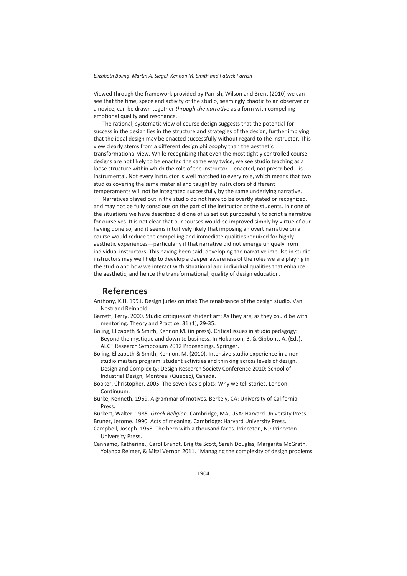Viewed through the framework provided by Parrish, Wilson and Brent (2010) we can see that the time, space and activity of the studio, seemingly chaotic to an observer or a novice, can be drawn together *through the narrative* as a form with compelling emotional quality and resonance.

The rational, systematic view of course design suggests that the potential for success in the design lies in the structure and strategies of the design, further implying that the ideal design may be enacted successfully without regard to the instructor. This view clearly stems from a different design philosophy than the aesthetic transformational view. While recognizing that even the most tightly controlled course designs are not likely to be enacted the same way twice, we see studio teaching as a loose structure within which the role of the instructor – enacted, not prescribed—is instrumental. Not every instructor is well matched to every role, which means that two studios covering the same material and taught by instructors of different temperaments will not be integrated successfully by the same underlying narrative.

Narratives played out in the studio do not have to be overtly stated or recognized, and may not be fully conscious on the part of the instructor or the students. In none of the situations we have described did one of us set out purposefully to script a narrative for ourselves. It is not clear that our courses would be improved simply by virtue of our having done so, and it seems intuitively likely that imposing an overt narrative on a course would reduce the compelling and immediate qualities required for highly aesthetic experiences—particularly if that narrative did not emerge uniquely from individual instructors. This having been said, developing the narrative impulse in studio instructors may well help to develop a deeper awareness of the roles we are playing in the studio and how we interact with situational and individual qualities that enhance the aesthetic, and hence the transformational, quality of design education.

## **References**

- Anthony, K.H. 1991. Design juries on trial: The renaissance of the design studio. Van Nostrand Reinhold.
- Barrett, Terry. 2000. Studio critiques of student art: As they are, as they could be with mentoring. Theory and Practice, 31,(1), 29-35.
- Boling, Elizabeth & Smith, Kennon M. (in press). Critical issues in studio pedagogy: Beyond the mystique and down to business. In Hokanson, B. & Gibbons, A. (Eds). AECT Research Symposium 2012 Proceedings. Springer.
- Boling, Elizabeth & Smith, Kennon. M. (2010). Intensive studio experience in a nonstudio masters program: student activities and thinking across levels of design. Design and Complexity: Design Research Society Conference 2010; School of Industrial Design, Montreal (Quebec), Canada.
- Booker, Christopher. 2005. The seven basic plots: Why we tell stories. London: Continuum.
- Burke, Kenneth. 1969. A grammar of motives. Berkely, CA: University of California Press.
- Burkert, Walter. 1985. *Greek Religion*. Cambridge, MA, USA: Harvard University Press.

Bruner, Jerome. 1990. Acts of meaning. Cambridge: Harvard University Press.

- Campbell, Joseph. 1968. The hero with a thousand faces. Princeton, NJ: Princeton University Press.
- Cennamo, Katherine., Carol Brandt, Brigitte Scott, Sarah Douglas, Margarita McGrath, Yolanda Reimer, & Mitzi Vernon 2011. "Managing the complexity of design problems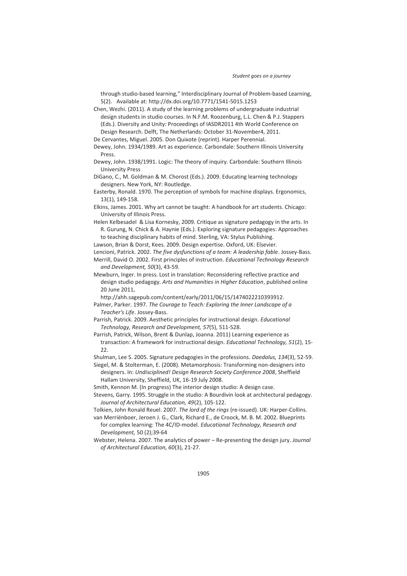through studio-based learning," Interdisciplinary Journal of Problem-based Learning, 5(2). Available at: http://dx.doi.org/10.7771/1541-5015.1253

Chen, Wezhi. (2011). A study of the learning problems of undergraduate industrial design students in studio courses. In N.F.M. Roozenburg, L.L. Chen & P.J. Stappers (Eds.). Diversity and Unity: Proceedings of IASDR2011 4th World Conference on Design Research. Delft, The Netherlands: October 31-November4, 2011.

De Cervantes, Miguel. 2005. Don Quixote (reprint). Harper Perennial.

Dewey, John. 1934/1989. Art as experience. Carbondale: Southern Illinois University Press.

Dewey, John. 1938/1991. Logic: The theory of inquiry. Carbondale: Southern Illinois University Press

DiGano, C., M. Goldman & M. Chorost (Eds.). 2009. Educating learning technology designers. New York, NY: Routledge.

Easterby, Ronald. 1970. The perception of symbols for machine displays. Ergonomics, 13(1), 149-158.

Elkins, James. 2001. Why art cannot be taught: A handbook for art students. Chicago: University of Illinois Press.

Helen Kelbesadel & Lisa Kornesky, 2009. Critique as signature pedagogy in the arts. In R. Gurung, N. Chick & A. Haynie (Eds.). Exploring signature pedagogies: Approaches to teaching disciplinary habits of mind. Sterling, VA: Stylus Publishing.

Lawson, Brian & Dorst, Kees. 2009. Design expertise. Oxford, UK: Elsevier.

Lencioni, Patrick. 2002. *The five dysfunctions of a team: A leadership fable*. Jossey-Bass.

Merrill, David O. 2002. First principles of instruction. *Educational Technology Research and Development, 50*(3), 43-59.

Mewburn, Inger. In press. Lost in translation: Reconsidering reflective practice and design studio pedagogy. *Arts and Humanities in Higher Education*, published online 20 June 2011,

http://ahh.sagepub.com/content/early/2011/06/15/1474022210393912.

Palmer, Parker. 1997. *The Courage to Teach: Exploring the Inner Landscape of a Teacher's Life*. Jossey-Bass.

Parrish, Patrick. 2009. Aesthetic principles for instructional design. *Educational Technology, Research and Development, 57*(5), 511-528.

Parrish, Patrick, Wilson, Brent & Dunlap, Joanna. 2011) Learning experience as transaction: A framework for instructional design. *Educational Technology, 51*(2), 15- 22.

Shulman, Lee S. 2005. Signature pedagogies in the professions. *Daedalus, 134*(3), 52-59.

Siegel, M. & Stolterman, E. (2008). Metamorphosis: Transforming non-designers into designers. In: *Undisciplined! Design Research Society Conference 2008*, Sheffield Hallam University, Sheffield, UK, 16-19 July 2008.

Smith, Kennon M. (In progress) The interior design studio: A design case.

Stevens, Garry. 1995. Struggle in the studio: A Bourdivin look at architectural pedagogy. *Journal of Architectural Education, 49*(2), 105-122.

Tolkien, John Ronald Reuel. 2007. *The lord of the rings* (re-issued). UK: Harper-Collins.

van Merriënboer, Jeroen J. G., Clark, Richard E., de Croock, M. B. M. 2002. Blueprints for complex learning: The 4C/ID-model. *Educational Technology, Research and Development,* 50 (2);39-64

Webster, Helena. 2007. The analytics of power – Re-presenting the design jury. *Journal of Architectural Education, 60*(3), 21-27.